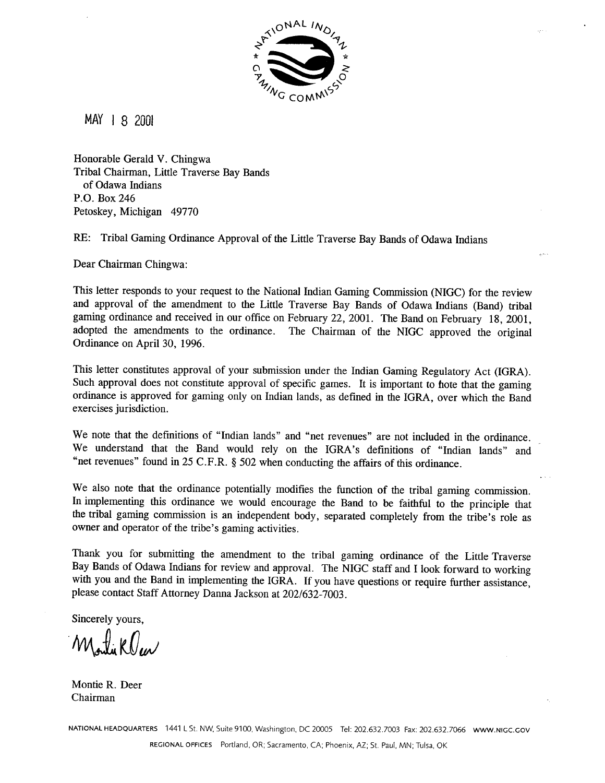

MAY **1** 8 2001

Honorable Gerald V. Chingwa Tribal Chairman, Little Traverse Bay Bands of Odawa Indians P.O. Box 246 Petoskey, Michigan 49770

RE: Tribal Gaming Ordinance Approval of the Little Traverse Bay Bands of Odawa Indians

Dear Chairman Chingwa:

This letter responds to your request to the National Indian Gaming Commission (NIGC) for the review and approval of the amendment to the Little Traverse Bay Bands of Odawa Indians (Band) tribal gaming ordinance and received in our office on February 22, 2001. The Band on February 18, 2001, adopted the amendments to the ordinance. The Chairman of the NIGC approved the original Ordinance on April 30, 1996.

This letter constitutes approval of your submission under the Indian Gaming Regulatory Act (IGRA). Such approval does not constitute approval of specific games. It is important to hote that the gaming ordinance is approved for gaming only on Indian lands, as defined in the IGRA, over which the Band exercises jurisdiction.

We note that the definitions of "Indian lands" and "net revenues" are not included in the ordinance. We understand that the Band would rely on the IGRA's definitions of "Indian lands" and "net revenues" found in 25 C.F.R. *5* 502 when conducting the affairs of this ordinance.

We also note that the ordinance potentially modifies the function of the tribal gaming commission. In implementing this ordinance we would encourage the Band to be faithful to the principle that the tribal gaming commission is an independent body, separated completely from the tribe's role as owner and operator of the tribe's gaming activities.

Thank you for submitting the amendment to the tribal gaming ordinance of the Little Traverse Bay Bands of Odawa Indians for review and approval. The NIGC staff and I look forward to working with you and the Band in implementing the IGRA. If you have questions or require further assistance, please contact Staff Attorney Danna Jackson at 202/632-7003.

Sincerely yours,

Montiklew

Montie R. Deer Chairman

**NATIONAL HEADQUARTERS** 1441 L St. NW, Suite 9100. Washington. DC 20005 Tel: 202.632.7003 Fax: 202.632.7066 **WWW.NlGC.GOV REGIONAL OFFICES** Portland. OR: Sacramento. **CA:** Phoenix, **AZ:** St. Paul. MN: Tulsa. OK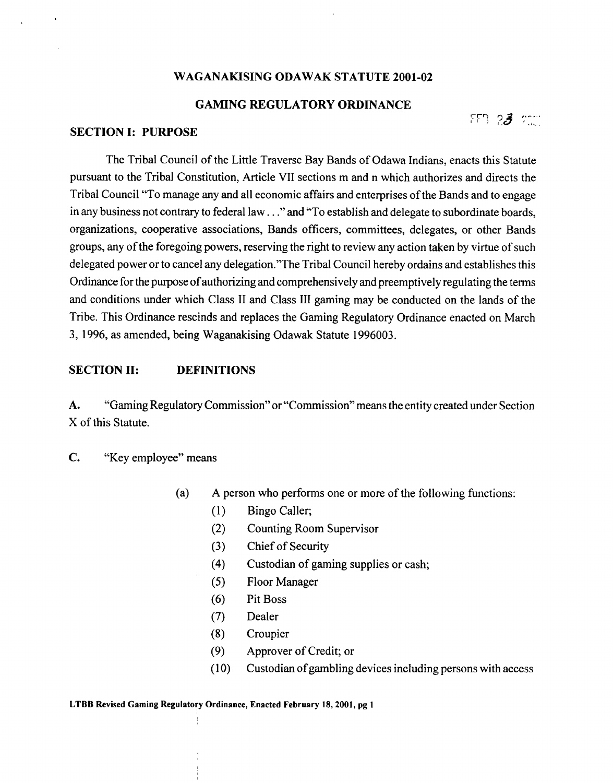#### **WAGANAKISING ODAWAK STATUTE 2001-02**

#### **GAMING REGULATORY ORDINANCE**

;<br>FFB 2**3** ptc

### **SECTION I: PURPOSE**

The Tribal Council of the Little Traverse Bay Bands of Odawa Indians, enacts this Statute pursuant to the Tribal Constitution, Article VII sections m and n which authorizes and directs the Tribal Council "To manage any and all economic affairs and enterprises of the Bands and to engage in any business not contrary to federal law. . ."and "To establish and delegate to subordinate boards, organizations, cooperative associations, Bands officers, committees, delegates, or other Bands groups, any of the foregoing powers, reserving the right to review any action taken by virtue of such delegated power or to cancel any delegation."The Tribal Council hereby ordains and establishes this Ordinance for the purpose of authorizing and comprehensively and preemptively regulating the terms and conditions under which Class I1 and Class I11 gaming may be conducted on the lands of the Tribe. This Ordinance rescinds and replaces the Gaming Regulatory Ordinance enacted on March 3, 1996, as amended, being Waganakising Odawak Statute 1996003.

### **SECTION 11: DEFINITIONS**

**A.** "Gaming Regulatory Commission" or "Commission" means the entity created under Section X of this Statute.

**C.** "Key employee" means

- (a) A person who performs one or more of the following functions:
	- (1) Bingo Caller;
	- (2) Counting Room Supervisor
	- (3) Chief of Security
	- (4) Custodian of gaming supplies or cash;
	- (5) Floor Manager
	- (6) Pit Boss
	- (7) Dealer
	- (8) Croupier
	- (9) Approver of Credit; or
	- (10) Custodian of gambling devices including persons with access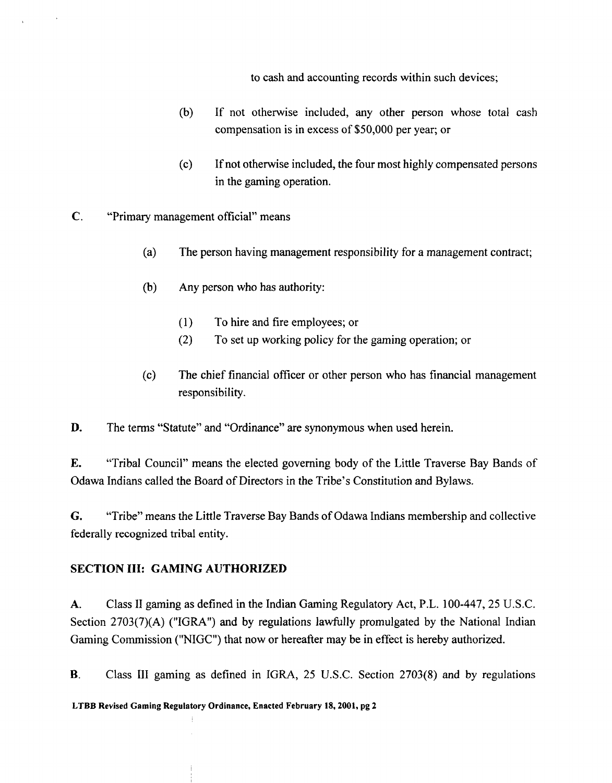to cash and accounting records within such devices;

- (b) If not otherwise included, any other person whose total cash compensation is in excess of \$50,000 per year; or
- (c) If not otherwise included, the four most highly compensated persons in the gaming operation.
- **C.** "Primary management official" means
	- (a) The person having management responsibility for a management contract;
	- (b) Any person who has authority:
		- **(1)** To hire and fire employees; or
		- (2) To set up working policy for the gaming operation; or
	- (c) The chief financial officer or other person who has financial management responsibility.

**D.** The terms "Statute" and "Ordinance" are synonymous when used herein.

**E.** "Tribal Council" means the elected governing body of the Little Traverse Bay Bands of Odawa Indians called the Board of Directors in the Tribe's Constitution and Bylaws.

**G.** "Tribe" means the Little Traverse Bay Bands of Odawa Indians membership and collective federally recognized tribal entity.

# **SECTION 111: GAMING AUTHORIZED**

**A.** Class I1 gaming as defined in the Indian Gaming Regulatory Act, P.L. 100-447,25 U.S.C. Section  $2703(7)(A)$  ("IGRA") and by regulations lawfully promulgated by the National Indian Gaming Commission ("NIGC") that now or hereafter may be in effect is hereby authorized.

**B.** Class III gaming as defined in IGRA, 25 U.S.C. Section 2703(8) and by regulations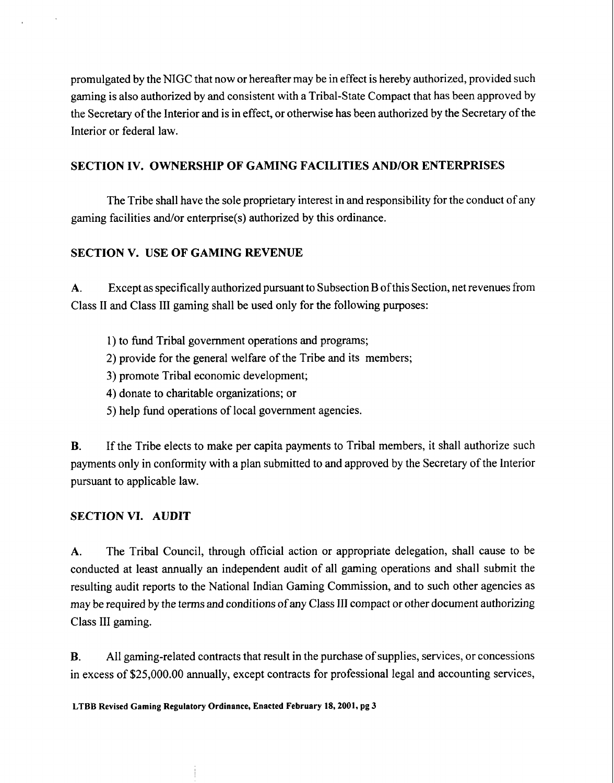promulgated by the NIGC that now or hereafter may be in effect is hereby authorized, provided such gaming is also authorized by and consistent with a Tribal-State Compact that has been approved by the Secretary of the Interior and is in effect, or otherwise has been authorized by the Secretary of the Interior or federal law.

## **SECTION IV. OWNERSHIP OF GAMING FACILITIES AND/OR ENTERPRISES**

The Tribe shall have the sole proprietary interest in and responsibility for the conduct of any gaming facilities and/or enterprise(s) authorized by this ordinance.

# **SECTION V. USE OF GAMING REVENUE**

**A.** Except as specifically authorized pursuant to Subsection B of this Section, net revenues from Class I1 and Class I11 gaming shall be used only for the following purposes:

- 1) to fund Tribal government operations and programs;
- 2) provide for the general welfare of the Tribe and its members;
- 3) promote Tribal economic development;
- 4) donate to charitable organizations; or
- 5) help fund operations of local government agencies.

**B.** If the Tribe elects to make per capita payments to Tribal members, it shall authorize such payments only in conformity with a plan submitted to and approved by the Secretary of the lnterior pursuant to applicable law.

### **SECTION VI. AUDIT**

**A.** The Tribal Council, through official action or appropriate delegation, shall cause to be conducted at least annually an independent audit of all gaming operations and shall submit the resulting audit reports to the National Indian Gaming Commission, and to such other agencies as may be required by the terms and conditions of any Class I11 compact or other document authorizing Class III gaming.

**B.** All gaming-related contracts that result in the purchase of supplies, services, or concessions in excess of \$25,000.00 annually, except contracts for professional legal and accounting services,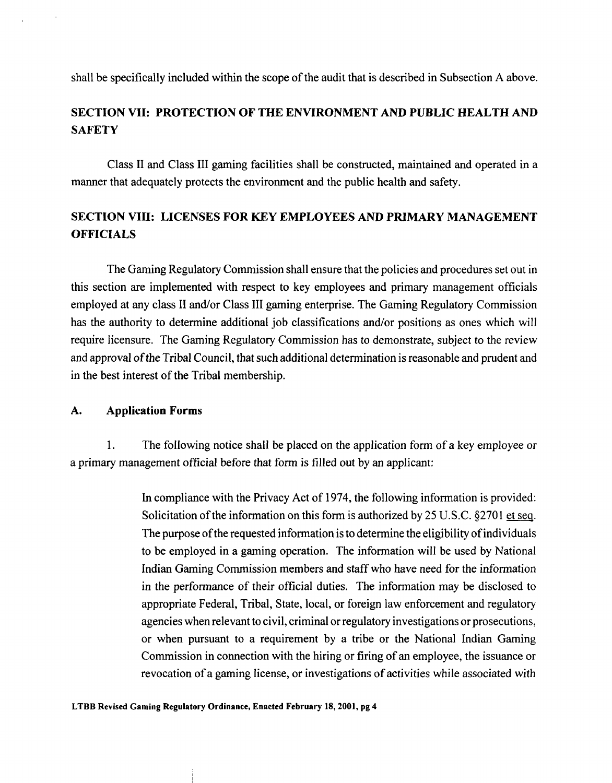shall be specifically included within the scope of the audit that is described in Subsection **A** above.

# **SECTION VII: PROTECTION OF THE ENVIRONMENT AND PUBLIC HEALTH AND SAFETY**

Class I1 and Class I11 gaming facilities shall be constructed, maintained and operated in a manner that adequately protects the environment and the public health and safety.

# **SECTION VIII: LICENSES FOR KEY EMPLOYEES AND PRIMARY MANAGEMENT OFFICIALS**

The Gaming Regulatory Commission shall ensure that the policies and procedures set out in this section are implemented with respect to key employees and primary management officials employed at any class II and/or Class III gaming enterprise. The Gaming Regulatory Commission has the authority to determine additional job classifications and/or positions as ones which will require licensure. The Gaming Regulatory Commission has to demonstrate, subject to the review and approval of the Tribal Council, that such additional determination is reasonable and prudent and in the best interest of the Tribal membership.

### **A. Application Forms**

1. The following notice shall be placed on the application form of a key employee or a primary management official before that form is filled out by an applicant:

> In compliance with the Privacy Act of 1974, the following information is provided: Solicitation of the information on this form is authorized by 25 U.S.C. §2701 et seq. The purpose of the requested information is to determine the eligibility of individuals to be employed in a gaming operation. The information will be used by National Indian Gaming Commission members and staff who have need for the information in the performance of their official duties. The information may be disclosed to appropriate Federal, Tribal, State, local, or foreign law enforcement and regulatory agencies when relevant to civil, criminal or regulatory investigations or prosecutions, or when pursuant to a requirement by a tribe or the National Indian Gaming Commission in connection with the hiring or firing of an employee, the issuance or revocation of a gaming license, or investigations of activities while associated with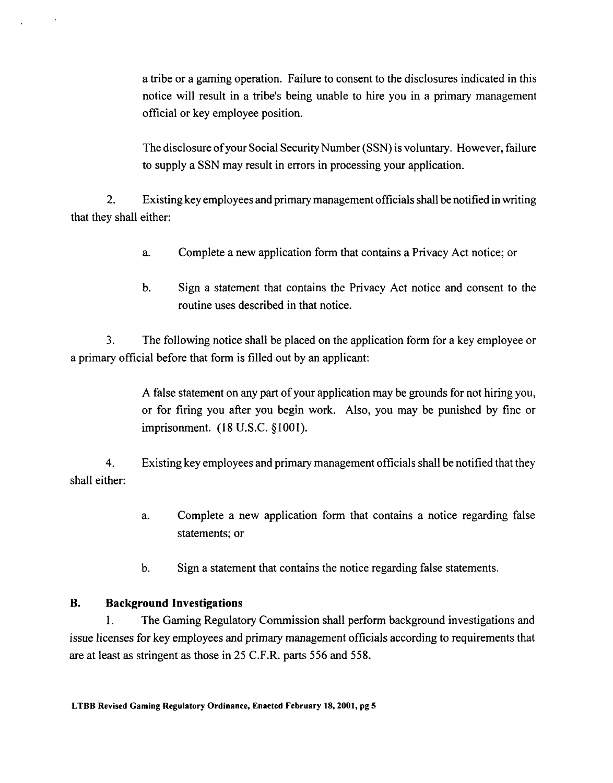a tribe or a gaming operation. Failure to consent to the disclosures indicated in this notice will result in a tribe's being unable to hire you in a primary management official or key employee position.

The disclosure of your Social Security Number (SSN) is voluntary. However, failure to supply a SSN may result in errors in processing your application.

2. Existing key employees and primary management officials shall be notified in writing that they shall either:

- a. Complete a new application form that contains a Privacy Act notice; or
- b. Sign a statement that contains the Privacy Act notice and consent to the routine uses described in that notice.

**3.** The following notice shall be placed on the application form for a key employee or a primary official before that form is filled out by an applicant:

> A false statement on any part of your application may be grounds for not hiring you, or for firing you after you begin work. Also, you may be punished by fine or imprisonment. (18 U.S.C. §1001).

**4.** Existing key employees and primary management officials shall be notified that they shall either:

- a. Complete a new application form that contains a notice regarding false statements; or
- b. Sign a statement that contains the notice regarding false statements.

### **B. Background Investigations**

1. The Gaming Regulatory Commission shall perform background investigations and issue licenses for key employees and primary management officials according to requirements that are at least as stringent as those in 25 C.F.R. parts 556 and 558.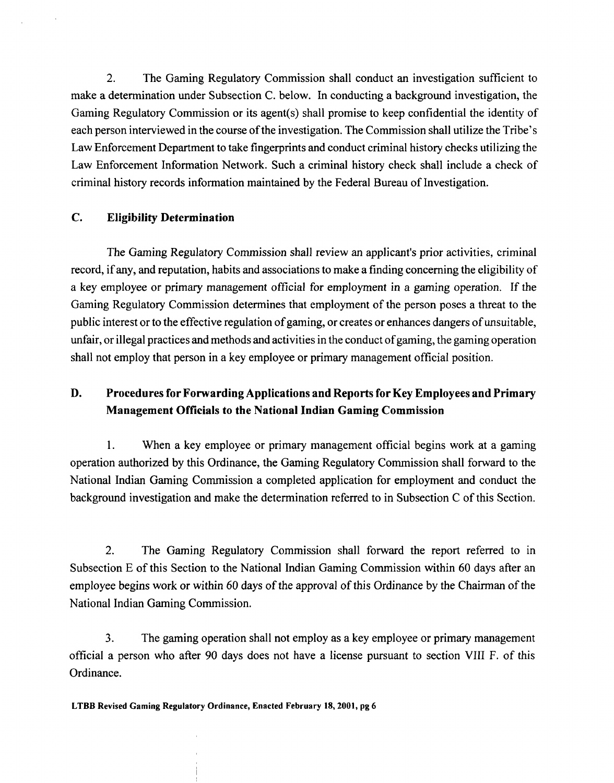2. The Gaming Regulatory Commission shall conduct an investigation sufficient to make a determination under Subsection C. below. In conducting a background investigation, the Gaming Regulatory Commission or its agent(s) shall promise to keep confidential the identity of each person interviewed in the course of the investigation. The Commission shall utilize the Tribe's Law Enforcement Department to take fingerprints and conduct criminal history checks utilizing the Law Enforcement Information Network. Such a criminal history check shall include a check of criminal history records information maintained by the Federal Bureau of Investigation.

### **C. Eligibility Determination**

The Gaming Regulatory Commission shall review an applicant's prior activities, criminal record, if any, and reputation, habits and associations to make a finding concerning the eligibility of a key employee or primary management official for employment in a gaming operation. If the Gaming Regulatory Commission determines that employment of the person poses a threat to the public interest or to the effective regulation of gaming, or creates or enhances dangers of unsuitable, unfair, or illegal practices and methods and activities in the conduct of gaming, the gaming operation shall not employ that person in a key employee or primary management official position.

# **D. Procedures for Forwarding Applications and Reports for Key Employees and Primary Management Officials to the National Indian Gaming Commission**

1. When a key employee or primary management official begins work at a gaming operation authorized by this Ordinance, the Gaming Regulatory Commission shall forward to the National Indian Gaming Commission a completed application for employment and conduct the background investigation and make the determination referred to in Subsection C of this Section.

2. The Gaming Regulatory Commission shall forward the report referred to in Subsection E of this Section to the National Indian Gaming Commission within 60 days after an employee begins work or within 60 days of the approval of this Ordinance by the Chairman of the National Indian Gaming Commission.

**3.** The gaming operation shall not employ as a key employee or primary management official a person who after 90 days does not have a license pursuant to section VIII F. of this Ordinance.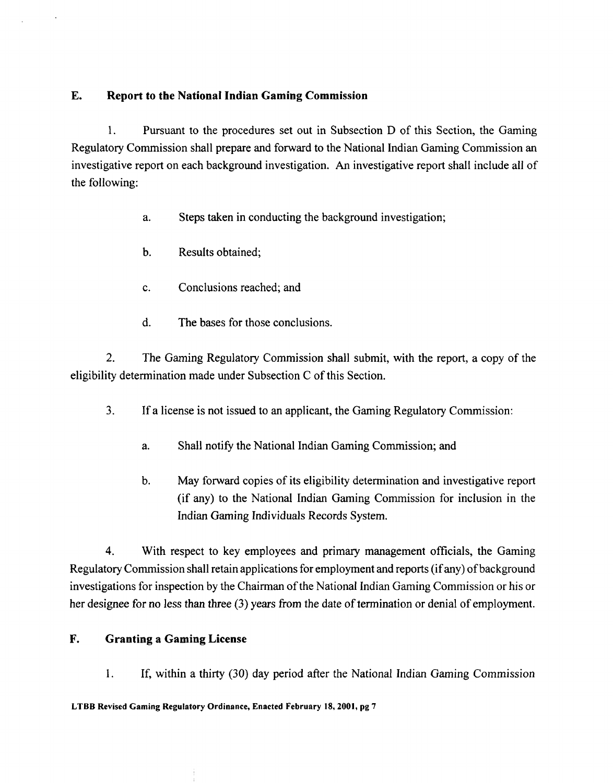## **E. Report to the National Indian Gaming Commission**

**1.** Pursuant to the procedures set out in Subsection D of this Section, the Gaming Regulatory Commission shall prepare and forward to the National Indian Gaming Commission an investigative report on each background investigation. **An** investigative report shall include all of the following:

- a. Steps taken in conducting the background investigation;
- b. Results obtained;
- c. Conclusions reached; and
- d. The bases for those conclusions.

2. The Gaming Regulatory Commission shall submit, with the report, a copy of the eligibility determination made under Subsection C of this Section.

- **3.** If a license is not issued to an applicant, the Gaming Regulatory Commission:
	- a. Shall notify the National Indian Gaming Commission; and
	- b. May forward copies of its eligibility determination and investigative report (if any) to the National Indian Gaming Commission for inclusion in the Indian Gaming Individuals Records System.

**4.** With respect to key employees and primary management officials, the Gaming Regulatory Commission shall retain applications for employment and reports (if any) of background investigations for inspection by the Chairman of the National Indian Gaming Commission or his or her designee for no less than three **(3)** years from the date of termination or denial of employment.

### **F. Granting a Gaming License**

1. If, within a thirty (30) day period after the National Indian Gaming Commission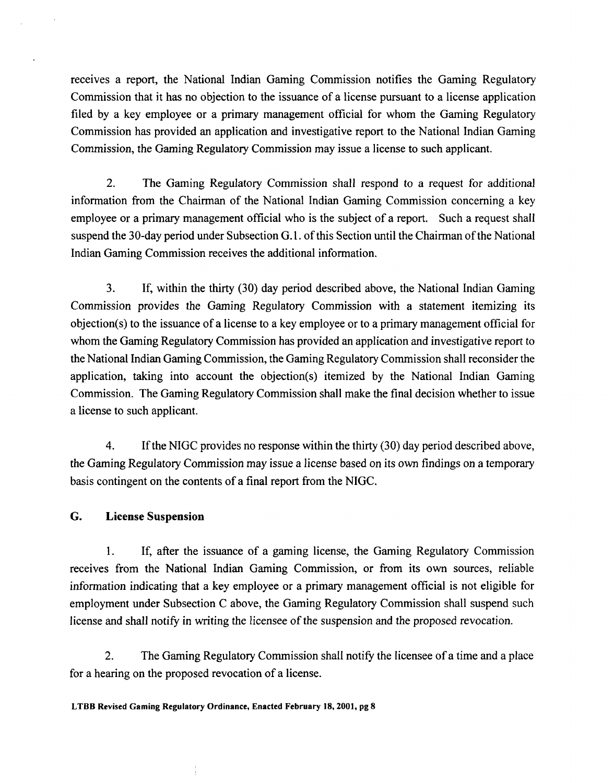receives a report, the National Indian Gaming Commission notifies the Gaming Regulatory Commission that it has no objection to the issuance of a license pursuant to a license application filed by a key employee or a primary management official for whom the Gaming Regulatory Commission has provided an application and investigative report to the National Indian Gaming Commission, the Gaming Regulatory Commission may issue a license to such applicant.

2. The Gaming Regulatory Commission shall respond to a request for additional information from the Chairman of the National Indian Gaming Commission concerning a key employee or a primary management official who is the subject of a report. Such a request shall suspend the 30-day period under Subsection G. 1. of this Section until the Chairman of the National Indian Gaming Commission receives the additional information.

**3.** If, within the thirty (30) day period described above, the National Indian Gaming Commission provides the Gaming Regulatory Commission with a statement itemizing its objection(s) to the issuance of a license to a key employee or to a primary management official for whom the Gaming Regulatory Commission has provided an application and investigative report to the National Indian Gaming Commission, the Gaming Regulatory Commission shall reconsider the application, taking into account the objection(s) itemized by the National Indian Gaming Commission. The Gaming Regulatory Commission shall make the final decision whether to issue a license to such applicant.

**4.** If the NIGC provides no response within the thirty (30) day period described above, the Gaming Regulatory Commission may issue a license based on its own findings on a temporary basis contingent on the contents of a final report from the NIGC.

### *G.* **License Suspension**

1. If, after the issuance of a gaming license, the Gaming Regulatory Commission receives from the National Indian Gaming Commission, or from its own sources, reliable information indicating that a key employee or a primary management official is not eligible for employment under Subsection C above, the Gaming Regulatory Commission shall suspend such license and shall notify in writing the licensee of the suspension and the proposed revocation.

2. The Gaming Regulatory Commission shall notify the licensee of a time and a place for a hearing on the proposed revocation of a license.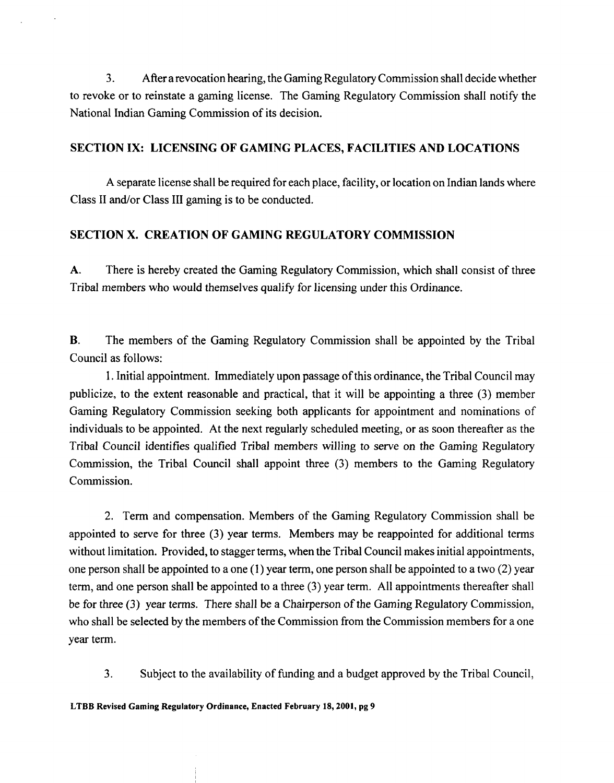**3.** After a revocation hearing, the Gaming Regulatory Commission shall decide whether to revoke or to reinstate a gaming license. The Gaming Regulatory Commission shall notify the National Indian Gaming Commission of its decision.

## **SECTION IX: LICENSING OF GAMING PLACES, FACILITIES AND LOCATIONS**

A separate license shall be required for each place, facility, or location on Indian lands where Class II and/or Class III gaming is to be conducted.

# **SECTION X. CREATION OF GAMING REGULATORY COMMISSION**

**A.** There is hereby created the Gaming Regulatory Commission, which shall consist of three Tribal members who would themselves qualify for licensing under this Ordinance.

**B.** The members of the Gaming Regulatory Commission shall be appointed by the Tribal Council as follows:

1. Initial appointment. Immediately upon passage of this ordinance, the Tribal Council may publicize, to the extent reasonable and practical, that it will be appointing a three **(3)** member Gaming Regulatory Commission seeking both applicants for appointment and nominations of individuals to be appointed. At the next regularly scheduled meeting, or as soon thereafter as the Tribal Council identifies qualified Tribal members willing to serve on the Gaming Regulatory Commission, the Tribal Council shall appoint three **(3)** members to the Gaming Regulatory Commission.

2. Term and compensation. Members of the Gaming Regulatory Commission shall be appointed to serve for three **(3)** year terms. Members may be reappointed for additional terms without limitation. Provided, to stagger terms, when the Tribal Council makes initial appointments, one person shall be appointed to a one  $(1)$  year term, one person shall be appointed to a two  $(2)$  year term, and one person shall be appointed to a three **(3)** year term. All appointments thereafter shall be for three **(3)** year terms. There shall be a Chairperson of the Gaming Regulatory Commission, who shall be selected by the members of the Commission from the Commission members for a one year term.

**3.** Subject to the availability of funding and a budget approved by the Tribal Council,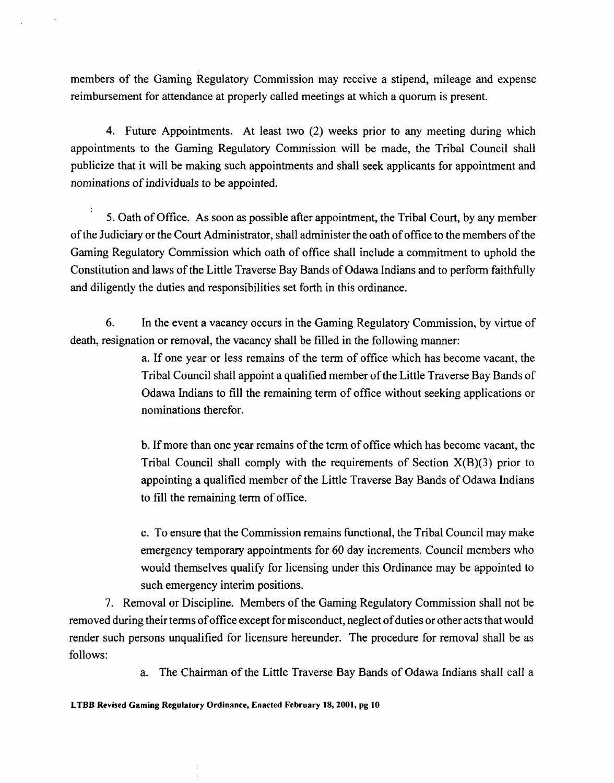members of the Gaming Regulatory Commission may receive a stipend, mileage and expense reimbursement for attendance at properly called meetings at which a quorum is present.

4. Future Appointments. At least two (2) weeks prior to any meeting during which appointments to the Gaming Regulatory Commission will be made, the Tribal Council shall publicize that it will be making such appointments and shall seek applicants for appointment and nominations of individuals to be appointed.

5. Oath of Office. As soon as possible after appointment, the Tribal Court, by any member of the Judiciary or the Court Administrator, shall administer the oath of office to the members of the Gaming Regulatory Commission which oath of office shall include a commitment to uphold the Constitution and laws of the Little Traverse Bay Bands of Odawa Indians and to perform faithfully and diligently the duties and responsibilities set forth in this ordinance.

*6.* In the event a vacancy occurs in the Gaming Regulatory Commission, by virtue of death, resignation or removal, the vacancy shall be filled in the following manner:

> a. If one year or less remains of the term of office which has become vacant, the Tribal Council shall appoint a qualified member of the Little Traverse Bay Bands of Odawa Indians to fill the remaining term of office without seeking applications or nominations therefor.

> b. If more than one year remains of the term of office which has become vacant, the Tribal Council shall comply with the requirements of Section  $X(B)(3)$  prior to appointing a qualified member of the Little Traverse Bay Bands of Odawa Indians to fill the remaining term of office.

> c. To ensure that the Commission remains functional, the Tribal Council may make emergency temporary appointments for 60 day increments. Council members who would themselves qualify for licensing under this Ordinance may be appointed to such emergency interim positions.

7. Removal or Discipline. Members of the Gaming Regulatory Commission shall not be removed during their terms of office except for misconduct, neglect of duties or other acts that would render such persons unqualified for licensure hereunder. The procedure for removal shall be as follows:

a. The Chairman of the Little Traverse Bay Bands of Odawa Indians shall call a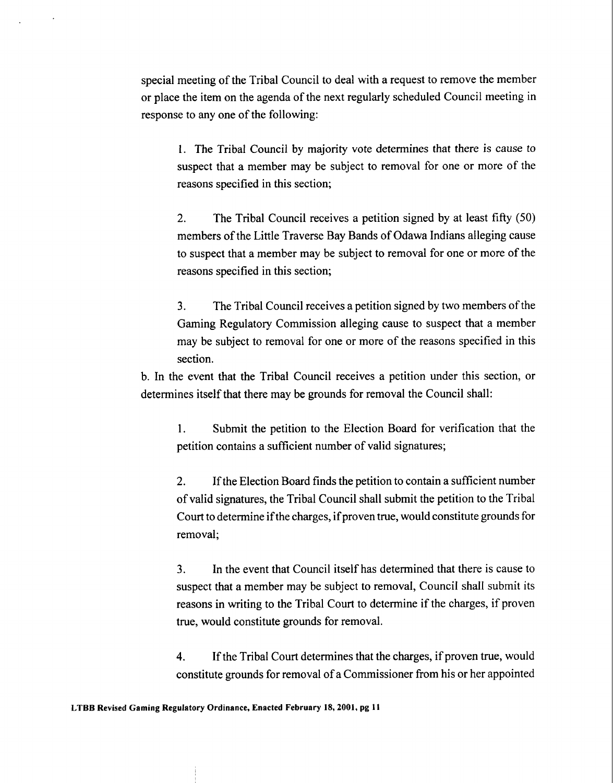special meeting of the Tribal Council to deal with a request to remove the member or place the item on the agenda of the next regularly scheduled Council meeting in response to any one of the following:

1. The Tribal Council by majority vote determines that there is cause to suspect that a member may be subject to removal for one or more of the reasons specified in this section;

2. The Tribal Council receives a petition signed by at least fifty (50) members of the Little Traverse Bay Bands of Odawa Indians alleging cause to suspect that a member may be subject to removal for one or more of the reasons specified in this section;

**3.** The Tribal Council receives a petition signed by two members of the Gaming Regulatory Commission alleging cause to suspect that a member may be subject to removal for one or more of the reasons specified in this section.

b. In the event that the Tribal Council receives a petition under this section, or determines itself that there may be grounds for removal the Council shall:

**1.** Submit the petition to the Election Board for verification that the petition contains a sufficient number of valid signatures;

**2.** If the Election Board finds the petition to contain a sufficient number of valid signatures, the Tribal Council shall submit the petition to the Tribal Court to determine if the charges, if proven true, would constitute grounds for removal;

**3.** In the event that Council itself has determined that there is cause to suspect that a member may be subject to removal, Council shall submit its reasons in writing to the Tribal Court to determine if the charges, if proven true, would constitute grounds for removal.

**4.** If the Tribal Court determines that the charges, if proven true, would constitute grounds for removal of a Commissioner from his or her appointed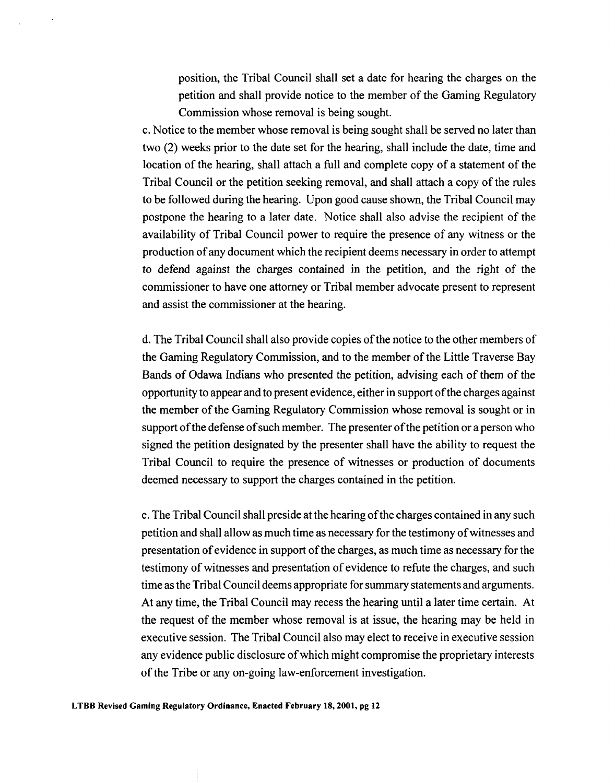position, the Tribal Council shall set a date for hearing the charges on the petition and shall provide notice to the member of the Gaming Regulatory Commission whose removal is being sought.

c. Notice to the member whose removal is being sought shall be served no later than two (2) weeks prior to the date set for the hearing, shall include the date, time and location of the hearing, shall attach a full and complete copy of a statement of the Tribal Council or the petition seeking removal, and shall attach a copy of the rules to be followed during the hearing. Upon good cause shown, the Tribal Council may postpone the hearing to a later date. Notice shall also advise the recipient of the availability of Tribal Council power to require the presence of any witness or the production of any document which the recipient deems necessary in order to attempt to defend against the charges contained in the petition, and the right of the commissioner to have one attorney or Tribal member advocate present to represent and assist the commissioner at the hearing.

d. The Tribal Council shall also provide copies of the notice to the other members of the Gaming Regulatory Commission, and to the member of the Little Traverse Bay Bands of Odawa Indians who presented the petition, advising each of them of the opportunity to appear and to present evidence, either in support of the charges against the member of the Gaming Regulatory Commission whose removal is sought or in support of the defense of such member. The presenter of the petition or a person who signed the petition designated by the presenter shall have the ability to request the Tribal Council to require the presence of witnesses or production of documents deemed necessary to support the charges contained in the petition.

e. The Tribal Council shall preside at the hearing of the charges contained in any such petition and shall allow as much time as necessary for the testimony of witnesses and presentation of evidence in support of the charges, as much time as necessary for the testimony of witnesses and presentation of evidence to refute the charges, and such time as the Tribal Council deems appropriate for summary statements and arguments. At any time, the Tribal Council may recess the hearing until a later time certain. At the request of the member whose removal is at issue, the hearing may be held in executive session. The Tribal Council also may elect to receive in executive session any evidence public disclosure of which might compromise the proprietary interests of the Tribe or any on-going law-enforcement investigation.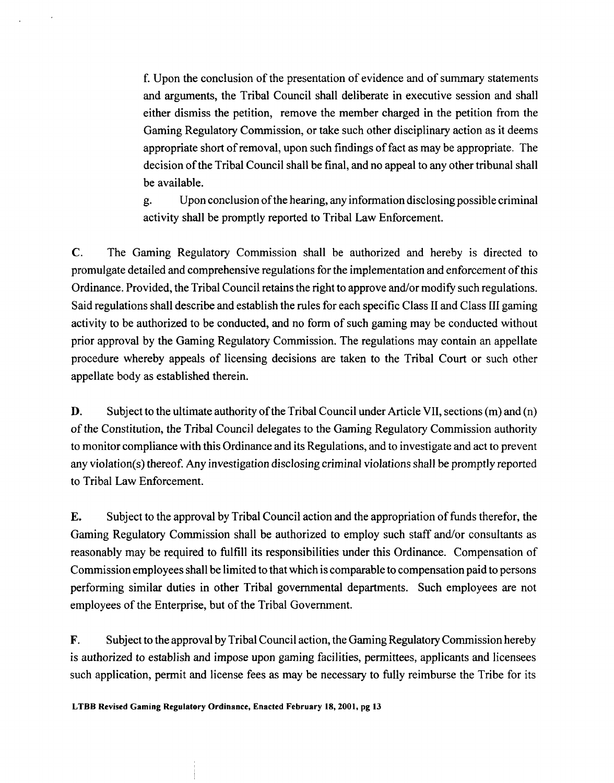f. Upon the conclusion of the presentation of evidence and of summary statements and arguments, the Tribal Council shall deliberate in executive session and shall either dismiss the petition, remove the member charged in the petition from the Gaming Regulatory Commission, or take such other disciplinary action as it deems appropriate short of removal, upon such findings of fact as may be appropriate. The decision of the Tribal Council shall be final, and no appeal to any other tribunal shall be available.

g. Upon conclusion of the hearing, any information disclosing possible criminal activity shall be promptly reported to Tribal Law Enforcement.

**C.** The Gaming Regulatory Commission shall be authorized and hereby is directed to promulgate detailed and comprehensive regulations for the implementation and enforcement of this Ordinance. Provided, the Tribal Council retains the right to approve and/or modify such regulations. Said regulations shall describe and establish the rules for each specific Class I1 and Class 111 gaming activity to be authorized to be conducted, and no form of such gaming may be conducted without prior approval by the Gaming Regulatory Commission. The regulations may contain an appellate procedure whereby appeals of licensing decisions are taken to the Tribal Court or such other appellate body as established therein.

**D.** Subject to the ultimate authority of the Tribal Council under Article VII, sections (m) and (n) of the Constitution, the Tribal Council delegates to the Gaming Regulatory Commission authority to monitor compliance with this Ordinance and its Regulations, and to investigate and act to prevent any violation(s) thereof. Any investigation disclosing criminal violations shall be promptly reported to Tribal Law Enforcement.

**E.** Subject to the approval by Tribal Council action and the appropriation of funds therefor, the Gaming Regulatory Commission shall be authorized to employ such staff and/or consultants as reasonably may be required to fulfill its responsibilities under this Ordinance. Compensation of Commission employees shall be limited to that which is comparable to compensation paid to persons performing similar duties in other Tribal governmental departments. Such employees are not employees of the Enterprise, but of the Tribal Government.

**F.** Subject to the approval by Tribal Council action, the Gaming Regulatory Commission hereby is authorized to establish and impose upon gaming facilities, permittees, applicants and licensees such application, permit and license fees as may be necessary to fully reimburse the Tribe for its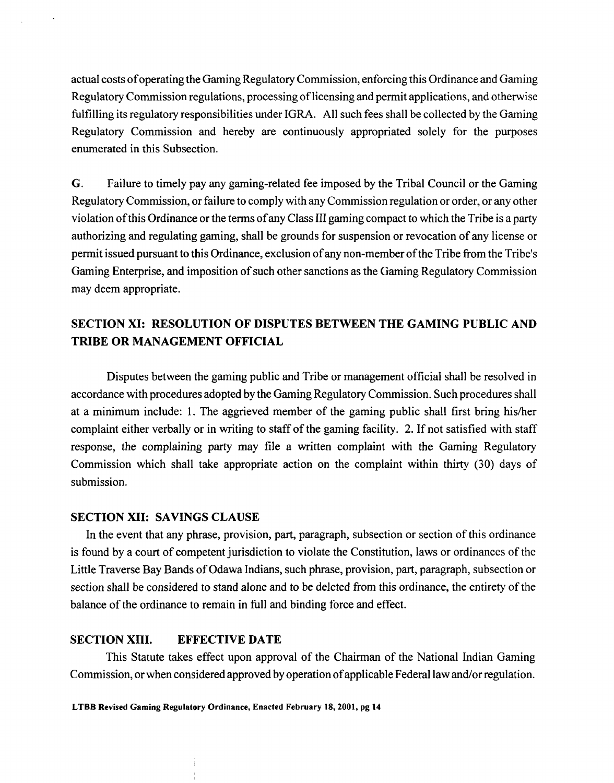actual costs of operating the Gaming Regulatory Commission, enforcing this Ordinance and Gaming Regulatory Commission regulations, processing of licensing and permit applications, and otherwise hlfilling its regulatory responsibilities under IGRA. All such fees shall be collected by the Gaming Regulatory Commission and hereby are continuously appropriated solely for the purposes enumerated in this Subsection.

*G.* Failure to timely pay any gaming-related fee imposed by the Tribal Council or the Gaming Regulatory Commission, or failure to comply with any Commission regulation or order, or any other violation of this Ordinance or the terms of any Class 111 gaming compact to which the Tribe is a party authorizing and regulating gaming, shall be grounds for suspension or revocation of any license or permit issued pursuant to this Ordinance, exclusion of any non-member of the Tribe from the Tribe's Gaming Enterprise, and imposition of such other sanctions as the Gaming Regulatory Commission may deem appropriate.

# **SECTION XI: RESOLUTION OF DISPUTES BETWEEN THE GAMING PUBLIC AND TRIBE OR MANAGEMENT OFFICIAL**

Disputes between the gaming public and Tribe or management official shall be resolved in accordance with procedures adopted by the Gaming Regulatory Commission. Such procedures shall at a minimum include: 1. The aggrieved member of the gaming public shall first bring his/her complaint either verbally or in writing to staff of the gaming facility. 2. If not satisfied with staff response, the complaining party may file a written complaint with the Gaming Regulatory Commission which shall take appropriate action on the complaint within thirty (30) days of submission.

### **SECTION XII: SAVINGS CLAUSE**

In the event that any phrase, provision, part, paragraph, subsection or section of this ordinance is found by a court of competent jurisdiction to violate the Constitution, laws or ordinances of the Little Traverse Bay Bands of Odawa Indians, such phrase, provision, part, paragraph, subsection or section shall be considered to stand alone and to be deleted from this ordinance, the entirety of the balance of the ordinance to remain in full and binding force and effect.

#### **SECTION XIII. EFFECTIVE DATE**

This Statute takes effect upon approval of the Chairman of the National Indian Gaming Commission, or when considered approved by operation of applicable Federal law and/or regulation.